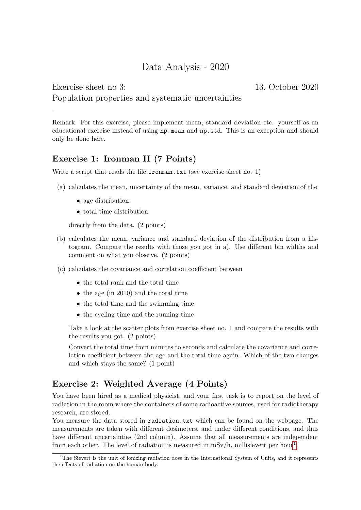# Data Analysis - 2020

## Exercise sheet no 3: 13. October 2020 Population properties and systematic uncertainties

Remark: For this exercise, please implement mean, standard deviation etc. yourself as an educational exercise instead of using np.mean and np.std. This is an exception and should only be done here.

## Exercise 1: Ironman II (7 Points)

Write a script that reads the file **ironman.txt** (see exercise sheet no. 1)

- (a) calculates the mean, uncertainty of the mean, variance, and standard deviation of the
	- age distribution
	- total time distribution

directly from the data. (2 points)

- (b) calculates the mean, variance and standard deviation of the distribution from a histogram. Compare the results with those you got in a). Use different bin widths and comment on what you observe. (2 points)
- (c) calculates the covariance and correlation coefficient between
	- the total rank and the total time
	- the age (in 2010) and the total time
	- the total time and the swimming time
	- the cycling time and the running time

Take a look at the scatter plots from exercise sheet no. 1 and compare the results with the results you got. (2 points)

Convert the total time from minutes to seconds and calculate the covariance and correlation coefficient between the age and the total time again. Which of the two changes and which stays the same? (1 point)

## Exercise 2: Weighted Average (4 Points)

You have been hired as a medical physicist, and your first task is to report on the level of radiation in the room where the containers of some radioactive sources, used for radiotherapy research, are stored.

You measure the data stored in radiation.txt which can be found on the webpage. The measurements are taken with different dosimeters, and under different conditions, and thus have different uncertainties (2nd column). Assume that all measurements are independent from each other. The level of radiation is measured in  $mSv/h$ , millisievert per hour<sup>[1](#page-0-0)</sup>.

<span id="page-0-0"></span><sup>1</sup>The Sievert is the unit of ionizing radiation dose in the International System of Units, and it represents the effects of radiation on the human body.